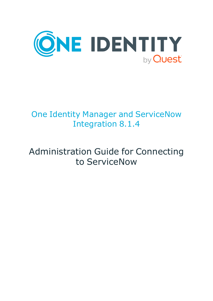

## One Identity Manager and ServiceNow Integration 8.1.4

## Administration Guide for Connecting to ServiceNow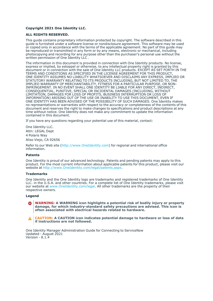#### **Copyright 2021 One Identity LLC.**

#### **ALL RIGHTS RESERVED.**

This guide contains proprietary information protected by copyright. The software described in this guide is furnished under a software license or nondisclosure agreement. This software may be used or copied only in accordance with the terms of the applicable agreement. No part of this guide may be reproduced or transmitted in any form or by any means, electronic or mechanical, including photocopying and recording for any purpose other than the purchaser's personal use without the written permission of One Identity LLC .

The information in this document is provided in connection with One Identity products. No license, express or implied, by estoppel or otherwise, to any intellectual property right is granted by this document or in connection with the sale of One Identity LLC products. EXCEPT AS SET FORTH IN THE TERMS AND CONDITIONS AS SPECIFIED IN THE LICENSE AGREEMENT FOR THIS PRODUCT, ONE IDENTITY ASSUMES NO LIABILITY WHATSOEVER AND DISCLAIMS ANY EXPRESS, IMPLIED OR STATUTORY WARRANTY RELATING TO ITS PRODUCTS INCLUDING, BUT NOT LIMITED TO, THE IMPLIED WARRANTY OF MERCHANTABILITY, FITNESS FOR A PARTICULAR PURPOSE, OR NON-INFRINGEMENT. IN NO EVENT SHALL ONE IDENTITY BE LIABLE FOR ANY DIRECT, INDIRECT, CONSEQUENTIAL, PUNITIVE, SPECIAL OR INCIDENTAL DAMAGES (INCLUDING, WITHOUT LIMITATION, DAMAGES FOR LOSS OF PROFITS, BUSINESS INTERRUPTION OR LOSS OF INFORMATION) ARISING OUT OF THE USE OR INABILITY TO USE THIS DOCUMENT, EVEN IF ONE IDENTITY HAS BEEN ADVISED OF THE POSSIBILITY OF SUCH DAMAGES. One Identity makes no representations or warranties with respect to the accuracy or completeness of the contents of this document and reserves the right to make changes to specifications and product descriptions at any time without notice. One Identity does not make any commitment to update the information contained in this document.

If you have any questions regarding your potential use of this material, contact:

One Identity LLC. Attn: LEGAL Dept 4 Polaris Way Aliso Viejo, CA 92656

Refer to our Web site [\(http://www.OneIdentity.com](http://www.oneidentity.com/)) for regional and international office information.

#### **Patents**

One Identity is proud of our advanced technology. Patents and pending patents may apply to this product. For the most current information about applicable patents for this product, please visit our website at [http://www.OneIdentity.com/legal/patents.aspx.](http://www.oneidentity.com/legal/patents.aspx)

#### **Trademarks**

One Identity and the One Identity logo are trademarks and registered trademarks of One Identity LLC. in the U.S.A. and other countries. For a complete list of One Identity trademarks, please visit our website at [www.OneIdentity.com/legal](http://www.oneidentity.com/legal). All other trademarks are the property of their respective owners.

#### **Legend**

**WARNING: A WARNING icon highlights a potential risk of bodily injury or property** œ **damage, for which industry-standard safety precautions are advised. This icon is often associated with electrical hazards related to hardware.**

**CAUTION: A CAUTION icon indicates potential damage to hardware or loss of data if instructions are not followed.**

One Identity Manager Administration Guide for Connecting to ServiceNow Updated - August 2021 Version - 8.1.4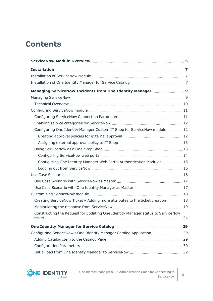## **Contents**

| Configuring One Identity Manager Custom IT Shop for ServiceNow module  12       |  |
|---------------------------------------------------------------------------------|--|
|                                                                                 |  |
|                                                                                 |  |
|                                                                                 |  |
|                                                                                 |  |
| Configuring One Identity Manager Web Portal Authentication Modules 15           |  |
|                                                                                 |  |
|                                                                                 |  |
|                                                                                 |  |
|                                                                                 |  |
|                                                                                 |  |
| Creating ServiceNow Ticket - Adding more attributes to the ticket creation  18  |  |
|                                                                                 |  |
| Constructing the Request for updating One Identity Manager status to ServiceNow |  |
|                                                                                 |  |
| Configuring ServiceNow's One Identity Manager Catalog Application 29            |  |
|                                                                                 |  |
|                                                                                 |  |
|                                                                                 |  |

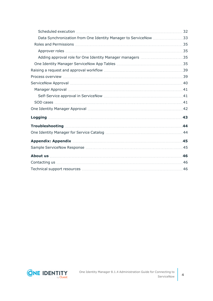| Data Synchronization from One Identity Manager to ServiceNow 33                                                  |    |
|------------------------------------------------------------------------------------------------------------------|----|
|                                                                                                                  |    |
|                                                                                                                  |    |
|                                                                                                                  |    |
|                                                                                                                  |    |
|                                                                                                                  |    |
|                                                                                                                  |    |
|                                                                                                                  |    |
| Manager Approval manufactured and the contract of the contract of the contract of the contract of the contract o |    |
|                                                                                                                  |    |
|                                                                                                                  |    |
|                                                                                                                  |    |
|                                                                                                                  | 43 |
|                                                                                                                  | 44 |
|                                                                                                                  |    |
|                                                                                                                  |    |
|                                                                                                                  |    |
|                                                                                                                  |    |
|                                                                                                                  |    |
|                                                                                                                  |    |

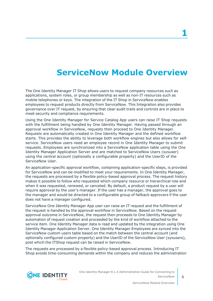## **ServiceNow Module Overview**

<span id="page-4-0"></span>The One Identity Manager IT Shop allows users to request company resources such as applications, system roles, or group membership as well as non-IT resources such as mobile telephones or keys. The integration of the IT Shop in ServiceNow enables employees to request products directly from ServiceNow. This Integration also provides governance over IT request, by ensuring that clear audit trails and controls are in place to meet security and compliance requirements.

Using the One Identity Manager for Service Catalog App users can raise IT Shop requests with the fulfillment being handled by One Identity Manager. Having passed through an approval workflow in ServiceNow, requests then proceed to One Identity Manager. Requests are automatically created in One Identity Manager and the defined workflow starts. This provides the ability to leverage both workflow engines but also allows for selfservice. ServiceNow users need an employee record in One Identity Manager to submit requests. Employees are synchronized into a ServiceNow application table using the One Identity Manager Application Server and are matched to ServiceNow Users (sysuser) using the central account (optionally a configurable property) and the UserID of the ServiceNow User.

An application-specific approval workflow, containing application-specific steps, is provided for ServiceNow and can be modified to meet your requirements. In One Identity Manager, the requests are processed by a flexible policy-based approval process. The request history makes it possible to follow who requested which company resource or hierarchical role and when it was requested, renewed, or canceled. By default, a product request by a user will require approval by the user's manager. If the user has a manager, the approval goes to the manager and would be directed to a configurable group of fallback approvers if the user does not have a manager configured.

ServiceNow One Identity Manager App user can raise an IT request and the fulfillment of the request is handled by the approval workflow in ServiceNow. Based on the request approval outcome in ServiceNow, the request then proceeds to One Identity Manager by automation of request creation and proceeded by the kind of workflow attached to the service item. One Identity Manager data is read and updated by the integration using One Identity Manager Application Server. One Identity Manager Employees are synced into the ServiceNow custom users table based on the match between the central account (and optionally configured custom property) and the UserID of the ServiceNow User (sysusers), post which the ITShop request can be raised in ServiceNow.

The requests are processed by a flexible policy-based approval process. Introducing IT Shop avoids time-consuming demands within the company and reduces the administration

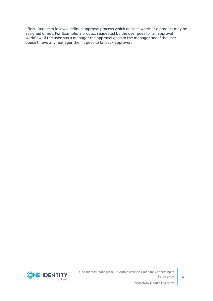effort. Requests follow a defined approval process which decides whether a product may be assigned or not. For Example, a product requested by the user goes for an approval workflow, if the user has a manager the approval goes to the manager and if the user doesn't have any manager then it goes to fallback approver.

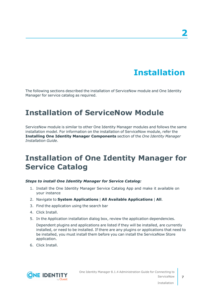## **Installation**

<span id="page-6-0"></span>The following sections described the installation of ServiceNow module and One Identity Manager for service catalog as required.

## <span id="page-6-1"></span>**Installation of ServiceNow Module**

ServiceNow module is similar to other One Identity Manager modules and follows the same installation model. For information on the installation of ServiceNow module, refer the **Installing One Identity Manager Components** section of the *One Identity Manager Installation Guide*.

## <span id="page-6-2"></span>**Installation of One Identity Manager for Service Catalog**

#### *Steps to install One Identity Manager for Service Catalog:*

- 1. Install the One Identity Manager Service Catalog App and make it available on your instance
- 2. Navigate to **System Applications** | **All Available Applications** | **All**.
- 3. Find the application using the search bar
- 4. Click Install.
- 5. In the Application installation dialog box, review the application dependencies.

Dependent plugins and applications are listed if they will be installed, are currently installed, or need to be installed. If there are any plugins or applications that need to be installed, you must install them before you can install the ServiceNow Store application.

6. Click Install.



Installation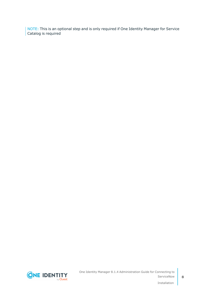NOTE: This is an optional step and is only required if One Identity Manager for Service Catalog is required



**8**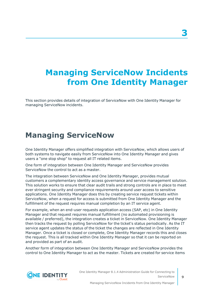## <span id="page-8-0"></span>**Managing ServiceNow Incidents from One Identity Manager**

This section provides details of integration of ServiceNow with One Identity Manager for managing ServiceNow incidents.

### <span id="page-8-1"></span>**Managing ServiceNow**

One Identity Manager offers simplified integration with ServiceNow, which allows users of both systems to navigate easily from ServiceNow into One Identity Manager and gives users a "one stop shop" to request all IT related items.

One form of integration between One Identity Manager and ServiceNow provides ServiceNow the control to act as a master.

The integration between ServiceNow and One Identity Manager, provides mutual customers a complementary identity access governance and service management solution. This solution works to ensure that clear audit trails and strong controls are in place to meet ever stringent security and compliance requirements around user access to sensitive applications. One Identity Manager does this by creating service request tickets within ServiceNow, when a request for access is submitted from One Identity Manager and the fulfillment of the request requires manual completion by an IT service agent.

For example, when an end-user requests application access (SAP, etc) in One Identity Manager and that request requires manual fulfillment (no automated provisioning is available / preferred), the integration creates a ticket in ServiceNow. One Identity Manager then tracks the request by polling ServiceNow for the ticket's status periodically. As the IT service agent updates the status of the ticket the changes are reflected in One Identity Manager. Once a ticket is closed or complete, One Identity Manager records this and closes the request. This is all tracked within One Identity Manager so that it can be reported on and provided as part of an audit.

Another form of integration between One Identity Manager and ServiceNow provides the control to One Identity Manager to act as the master. Tickets are created for service items



**9**

**3**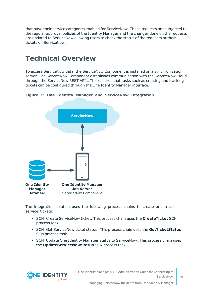that have their service categories enabled for ServiceNow. These requests are subjected to the regular approval policies of the Identity Manager and the changes done on the requests are updated to ServiceNow allowing users to check the status of the requests or their tickets on ServiceNow.

### <span id="page-9-0"></span>**Technical Overview**

To access ServiceNow data, the ServiceNow Component is installed on a synchronization server. The ServiceNow Component establishes communication with the ServiceNow Cloud through the ServiceNow REST APIs. This ensures that tasks such as creating and tracking tickets can be configured through the One Identity Manager interface.

**Figure 1: One Identity Manager and ServiceNow Integration**



The integration solution uses the following process chains to create and track service tickets:

- **SCN** Create ServiceNow ticket: This process chain uses the **CreateTicket** SCN process task.
- **SCN** Get ServiceNow ticket status: This process chain uses the GetTicketStatus SCN process task.
- SCN\_Update One Identity Manager status to ServiceNow: This process chain uses the **UpdateServiceNowStatus** SCN process task.

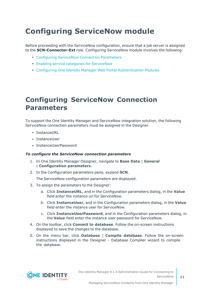## <span id="page-10-0"></span>**Configuring ServiceNow module**

Before proceeding with the ServiceNow configuration, ensure that a job server is assigned to the **SCN-Connector-Ext** role. Configuring ServiceNow module involves the following:

- **Configuring [ServiceNow](#page-10-1) Connection Parameters**
- Enabling service categories for [ServiceNow](#page-11-0)
- Configuring One Identity Manager Web Portal [Authentication](#page-14-0) Modules

### <span id="page-10-1"></span>**Configuring ServiceNow Connection Parameters**

To support the One Identity Manager and ServiceNow integration solution, the following ServiceNow connection parameters must be assigned in the Designer.

- InstanceURL
- InstanceUser
- InstanceUserPassword

#### *To configure the ServiceNow connection parameters*

- 1. In One Identity Manager Designer, navigate to **Base Data** | **General** | **Configuration parameters**.
- 2. In the Configuration parameters pane, expand **SCN**.

The ServiceNow configuration parameters are displayed.

- 3. To assign the parameters to the Designer:
	- a. Click **InstanceURL**, and in the Configuration parameters dialog, in the **Value** field enter the instance url for ServiceNow.
	- b. Click **InstanceUser**, and in the Configuration parameters dialog, in the **Value** field enter the instance user for ServiceNow.
	- c. Click **InstanceUserPassword**, and in the Configuration parameters dialog, in the **Value** field enter the instance user password for ServiceNow.
- 4. On the toolbar, click **Commit to database**. Follow the on-screen instructions displayed to save the changes to the database.
- 5. On the menu bar, click **Database** | **Compile database**. Follow the on-screen instructions displayed in the Designer - Database Compiler wizard to compile the database.

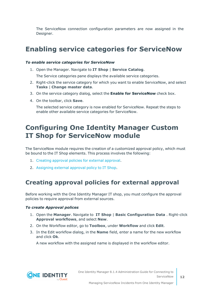The ServiceNow connection configuration parameters are now assigned in the Designer.

### <span id="page-11-0"></span>**Enabling service categories for ServiceNow**

#### *To enable service categories for ServiceNow*

1. Open the Manager. Navigate to **IT Shop** | **Service Catalog**.

The Service categories pane displays the available service categories.

- 2. Right-click the service category for which you want to enable ServiceNow, and select **Tasks** | **Change master data**.
- 3. On the service category dialog, select the **Enable for ServiceNow** check box.
- 4. On the toolbar, click **Save**.

The selected service category is now enabled for ServiceNow. Repeat the steps to enable other available service categories for ServiceNow.

### <span id="page-11-1"></span>**Configuring One Identity Manager Custom IT Shop for ServiceNow module**

The ServiceNow module requires the creation of a customized approval policy, which must be bound to the IT Shop elements. This process involves the following:

- 1. Creating [approval](#page-11-2) policies for external approval.
- <span id="page-11-2"></span>2. [Assigning](#page-12-0) external approval policy to IT Shop.

### **Creating approval policies for external approval**

Before working with the One Identity Manager IT shop, you must configure the approval policies to require approval from external sources.

#### *To create Approval polices*

- 1. Open the **Manager**. Navigate to **IT Shop** | **Basic Configuration Data** . Right-click **Approval workflows**, and select **New**.
- 2. On the Workflow editor, go to **Toolbox**, under **Workflow** and click **Edit**.
- 3. In the Edit workflow dialog, in the **Name** field, enter a name for the new workflow and click **Ok**.

A new workflow with the assigned name is displayed in the workflow editor.

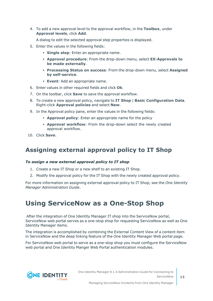4. To add a new approval level to the approval workflow, in the **Toolbox**, under **Approval levels**, click **Add**.

A dialog to edit the selected approval step properties is displayed.

- 5. Enter the values in the following fields:
	- **· Single step**: Enter an appropriate name.
	- <sup>l</sup> **Approval procedure**: From the drop-down menu, select **EX-Approvals to be made externally**.
	- <sup>l</sup> **Processing Status on success**: From the drop-down menu, select **Assigned by self-service**.
	- **Event**: Add an appropriate name.
- 6. Enter values in other required fields and click **Ok**.
- 7. On the toolbar, click **Save** to save the approval workflow.
- 8. To create a new approval policy, navigate to **IT Shop** | **Basic Configuration Data**. Right-click **Approval policies** and select **New**.
- 9. In the Approval policy pane, enter the values in the following fields:
	- **Approval policy**: Enter an appropriate name for the policy
	- **Approval workflow**: From the drop-down select the newly created approval workflow.
- <span id="page-12-0"></span>10. Click **Save**.

### **Assigning external approval policy to IT Shop**

#### *To assign a new external approval policy to IT shop*

- 1. Create a new IT Shop or a new shelf to an existing IT Shop.
- 2. Modify the approval policy for the IT Shop with the newly created approval policy.

For more information on assigning external approval policy to IT Shop, see the *One Identity Manager Administration Guide*.

### <span id="page-12-1"></span>**Using ServiceNow as a One-Stop Shop**

After the integration of One Identity Manager IT shop into the ServiceNow portal, ServiceNow web portal serves as a one-stop shop for requesting ServiceNow as well as One Identity Manager items.

The integration is accomplished by combining the External Content View of a content item in ServiceNow and the deep linking feature of the One Identity Manager Web portal page.

For ServiceNow web portal to serve as a one-stop shop you must configure the ServiceNow web portal and One Identity Manger Web Portal authentication modules.

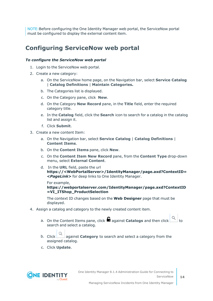NOTE:Before configuring the One Identity Manager web portal, the ServiceNow portal must be configured to display the external content item.

### <span id="page-13-0"></span>**Configuring ServiceNow web portal**

#### *To configure the ServiceNow web portal*

- 1. Login to the ServiceNow web portal.
- 2. Create a new category:
	- a. On the ServiceNow home page, on the Navigation bar, select **Service Catalog** | **Catalog Definitions** | **Maintain Categories.**
	- b. The Categories list is displayed.
	- c. On the Category pane, click **New**.
	- d. On the Category **New Record** pane, in the **Title** field, enter the required category title.
	- e. In the **Catalog** field, click the **Search** icon to search for a catalog in the catalog list and assign it.
	- f. Click **Submit**.
- 3. Create a new content Item:
	- a. On the Navigation bar, select **Service Catalog** | **Catalog Definitions** | **Content Items**.
	- b. On the **Content Items** pane, click **New**.
	- c. On the **Content Item New Record** pane, from the **Content Type** drop-down menu, select **External Content**.
	- d. In the **URL** field, paste the url **https://<WebPortalServer>/IdentityManager/page.axd?ContextID= <***PageLink***>** for deep links to One Identity Manager.

For example, **https://webportalserver.com/IdentityManager/page.axd?ContextID =VI\_ITShop\_ProductSelection**

The context ID changes based on the **Web Designer** page that must be displayed.

- 4. Assign a catalog and category to the newly created content item.
	- a. On the Content Items pane, click **a** against **Catalogs** and then click  $\sim$  to search and select a catalog.
	- b. Click against **Category** to search and select a category from the assigned catalog.
	- c. Click **Update**.



**14**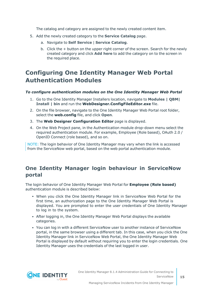The catalog and category are assigned to the newly created content item.

- 5. Add the newly created category to the **Service Catalog** page.
	- a. Navigate to **Self Service** | **Service Catalog**.
	- b. Click the + button on the upper right corner of the screen. Search for the newly created category and click **Add here** to add the category on to the screen in the required place.

### <span id="page-14-0"></span>**Configuring One Identity Manager Web Portal Authentication Modules**

#### *To configure authentication modules on the One Identity Manager Web Portal*

- 1. Go to the One Identity Manager Installers location, navigate to **Modules | QBM| Install | bin** and run the **WebDesigner.ConfigFileEditor.exe** file.
- 2. On the file browser, navigate to the One Identity Manager Web Portal root folder, select the **web.config** file, and click **Open**.
- 3. The **Web Designer Configuration Editor** page is displayed.
- 4. On the Web Project pane, in the Authentication module drop-down menu select the required authentication module. For example, Employee (Role based), OAuth 2.0 / OpenID Connect (role based), and so on.

NOTE: The login behavior of One Identity Manager may vary when the link is accessed from the ServiceNow web portal, based on the web portal authentication module.

### **One Identity Manager login behaviour in ServiceNow portal**

The login behavior of One Identity Manager Web Portal for **Employee (Role based)** authentication module is described below:

- When you click the One Identity Manager link in ServiceNow Web Portal for the first time, an authorization page to the One Identity Manager Web Portal is displayed. You are prompted to enter the user credentials of One Identity Manager to log in to the system.
- After logging in, the One Identity Manager Web Portal displays the available categories.
- You can log in with a different ServiceNow user to another instance of ServiceNow portal, in the same browser using a different tab. In this case, when you click the One Identity Manager link in ServiceNow Web Portal, the One Identity Manager Web Portal is displayed by default without requiring you to enter the login credentials. One Identity Manager uses the credentials of the last logged in user.

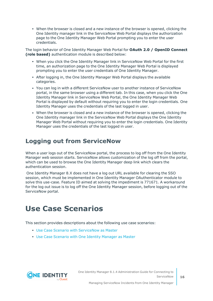• When the browser is closed and a new instance of the browser is opened, clicking the One Identity manager link in the ServiceNow Web Portal displays the authorization page to the One Identity Manager Web Portal prompting you to enter the user credentials.

The login behavior of One Identity Manager Web Portal for **OAuth 2.0 / OpenID Connect (role based)** authentication module is described below:

- When you click the One Identity Manager link in ServiceNow Web Portal for the first time, an authorization page to the One Identity Manager Web Portal is displayed prompting you to enter the user credentials of One Identity Manager.
- After logging in, the One Identity Manager Web Portal displays the available categories.
- You can log in with a different ServiceNow user to another instance of ServiceNow portal, in the same browser using a different tab. In this case, when you click the One Identity Manager link in ServiceNow Web Portal, the One Identity Manager Web Portal is displayed by default without requiring you to enter the login credentials. One Identity Manager uses the credentials of the last logged in user.
- When the browser is closed and a new instance of the browser is opened, clicking the One Identity manager link in the ServiceNow Web Portal displays the One Identity Manager Web Portal without requiring you to enter the login credentials. One Identity Manager uses the credentials of the last logged in user.

### <span id="page-15-0"></span>**Logging out from ServiceNow**

When a user logs out of the ServiceNow portal, the process to log off from the One Identity Manager web session starts. ServiceNow allows customization of the log off from the portal, which can be used to browse the One Identity Manager deep link which clears the authentication session.

One Identity Manager 8.X does not have a log out URL available for clearing the SSO session, which must be implemented in One Identity Manager OAuthenticator module to solve this use-case. Feature ID aimed at solving the impediment is 771671. A workaround for the log out issue is to log off the One Identity Manager session, before logging out of the ServiceNow portal.

## <span id="page-15-1"></span>**Use Case Scenarios**

This section provides descriptions about the following use case scenarios:

- Use Case Scenario with [ServiceNow](#page-16-0) as Master
- Use Case [Scenario](#page-16-1) with One Identity Manager as Master



Managing ServiceNow Incidents from One Identity Manager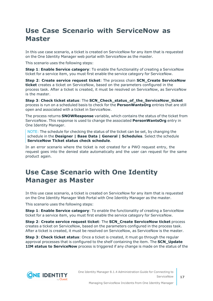### <span id="page-16-0"></span>**Use Case Scenario with ServiceNow as Master**

In this use case scenario, a ticket is created on ServiceNow for any item that is requested on the One Identity Manager web portal with ServiceNow as the master.

This scenario uses the following steps:

**Step 1**: **Enable Service category**: To enable the functionality of creating a ServiceNow ticket for a service item, you must first enable the service category for ServiceNow.

**Step 2**: **Create service request ticket**: The process chain **SCN\_Create ServiceNow ticket** creates a ticket on ServiceNow, based on the parameters configured in the process task. After a ticket is created, it must be resolved on ServiceNow, as ServiceNow is the master.

**Step 3**: **Check ticket status**: The **SCN\_Check\_status\_of\_the\_ServiceNow\_ticket** process is run on a scheduled basis to check for the **PersonWantsOrg** entries that are still open and associated with a ticket in ServiceNow.

The process returns **SNOWResponse** variable, which contains the status of the ticket from ServiceNow. This response is used to change the associated **PersonWantsOrg** entry in One Identity Manager.

NOTE: The schedule for checking the status of the ticket can be set, by changing the schedule in the **Designer | Base Data | General | Schedules**. Select the schedule **ServiceNow Ticket status check schedule**.

In an error scenario where the ticket is not created for a PWO request entry, the request goes into the denied state automatically and the user can request for the same product again.

### <span id="page-16-1"></span>**Use Case Scenario with One Identity Manager as Master**

In this use case scenario, a ticket is created on ServiceNow for any item that is requested on the One Identity Manager Web Portal with One Identity Manager as the master.

This scenario uses the following steps:

**Step 1**: **Enable Service category**: To enable the functionality of creating a ServiceNow ticket for a service item, you must first enable the service category for ServiceNow.

**Step 2**: **Create service request ticket**: The **SCN\_Create ServiceNow ticket** process creates a ticket on ServiceNow, based on the parameters configured in the process task. After a ticket is created, it must be resolved on ServiceNow, as ServiceNow is the master.

**Step 3**: **Check ticket status**: Once a ticket is created, it must go through the regular approval processes that is configured to the shelf containing the item. The **SCN\_Update 1IM status to ServiceNow** process is triggered if any change is made on the status of the

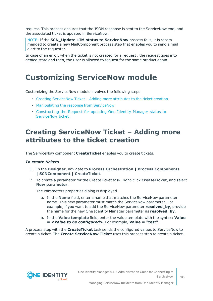request. This process ensures that the JSON response is sent to the ServiceNow end, and the associated ticket is updated in ServiceNow.

NOTE: If the **SCN\_Update 1IM status to ServiceNow** process fails, it is recommended to create a new MailComponent process step that enables you to send a mail alert to the requester.

In case of an error, when the ticket is not created for a request, the request goes into denied state and then, the user is allowed to request for the same product again.

### <span id="page-17-0"></span>**Customizing ServiceNow module**

Customizing the ServiceNow module involves the following steps:

- Creating [ServiceNow](#page-17-1) Ticket Adding more attributes to the ticket creation
- [Manipulating](#page-18-0) the response from ServiceNow
- <sup>l</sup> [Constructing](#page-23-0) the Request for updating One Identity Manager status to [ServiceNow](#page-23-0) ticket

### <span id="page-17-1"></span>**Creating ServiceNow Ticket – Adding more attributes to the ticket creation**

The ServiceNow component **CreateTicket** enables you to create tickets.

#### *To create tickets*

- 1. In the **Designer**, navigate to **Process Orchestration | Process Components | SCNComponent | CreateTicket**.
- 2. To create a parameter for the CreateTicket task, right-click **CreateTicket**, and select **New parameter**.

The Parameters properties dialog is displayed.

- a. In the **Name** field, enter a name that matches the ServiceNow parameter name. This new parameter must match the ServiceNow parameter. For example, if you want to add the ServiceNow parameter **resolved\_by**, provide the name for the new One Identity Manager parameter as **resolved\_by**.
- b. In the **Value template** field, enter the value template with the syntax: **Value = <***Value to be configured***>**. For example, **Value = "test"**.

A process step with the **CreateTicket** task sends the configured values to ServiceNow to create a ticket. The **Create ServiceNow Ticket** uses this process step to create a ticket.

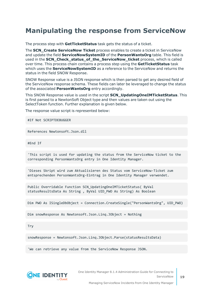### <span id="page-18-0"></span>**Manipulating the response from ServiceNow**

The process step with **GetTicketStatus** task gets the status of a ticket.

The **SCN\_Create ServiceNow Ticket** process enables to create a ticket in ServiceNow and update the field **ServiceNowSystemID** of the **PersonWantsOrg** table. This field is used in the **SCN\_Check\_status\_of\_the\_ServiceNow\_ticket** process, which is called over time. This process chain contains a process step using the **GetTicketStatus** task which uses the **ServiceNowSystemID** as a reference to the ServiceNow and returns the status in the field SNOW Response.

SNOW Response value is a JSON response which is then parsed to get any desired field of the ServiceNow response schema. These fields can later be leveraged to change the status of the associated **PersonWantsOrg** entry accordingly.

This SNOW Response value is used in the script **SCN\_UpdatingOneIMTicketStatus**. This is first parsed to a NewtonSoft Object type and then values are taken out using the SelectToken function. Further explanation is given below.

The response value script is represented below:

#If Not SCRIPTDEBUGGER

References Newtonsoft.Json.dll

#End If

'This script is used for updating the status from the ServiceNow ticket to the corresponding PersonWantsOrg entry in One Identity Manager.

'Dieses Skript wird zum Aktualisieren des Status vom ServiceNow-Ticket zum entsprechenden PersonWantsOrg-Eintrag in One Identity Manager verwendet.

Public Overridable Function SCN\_UpdatingOneIMTicketStatus( ByVal statusResultsData As String , ByVal UID\_PWO As String) As Boolean

Dim PWO As ISingleDbObject = Connection.CreateSingle("PersonWantsOrg", UID\_PWO)

Dim snowResponse As Newtonsoft.Json.Linq.JObject = Nothing

Try

snowResponse = Newtonsoft.Json.Linq.JObject.Parse(statusResultsData)

'We can retrieve any value from the ServiceNow Response JSON.



One Identity Manager 8.1.4 Administration Guide for Connecting to **ServiceNow** 

Managing ServiceNow Incidents from One Identity Manager

**19**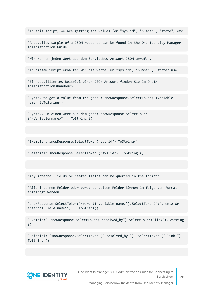'In this script, we are getting the values for "sys\_id", "number", "state", etc.

'A detailed sample of a JSON response can be found in the One Identity Manager Administration Guide.

'Wir können jeden Wert aus dem ServiceNow-Antwort-JSON abrufen.

'In diesem Skript erhalten wir die Werte für "sys\_id", "number", "state" usw.

'Ein detailliertes Beispiel einer JSON-Antwort finden Sie im OneIM-Administrationshandbuch.

'Syntax to get a value from the json : snowResponse.SelectToken("<variable name>").ToString()

'Syntax, um einen Wert aus dem json: snowResponse.SelectToken ("<Variablenname>") . ToString ()

'Example : snowResponse.SelectToken("sys\_id").ToString()

'Beispiel: snowResponse.SelectToken ("sys\_id"). ToString ()

'Any internal fields or nested fields can be queried in the format:

'Alle internen Felder oder verschachtelten Felder können im folgenden Format abgefragt werden:

'snowResponse.SelectToken("<parent1 variable name>").SelectToken("<Parent2 Or internal field name>")....ToString()

'Example:" snowResponse.SelectToken("resolved\_by").SelectToken("link").ToString ()

'Beispiel: "snowResponse.SelectToken (" resolved\_by "). SelectToken (" link "). ToString ()

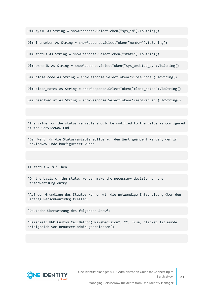Dim sysID As String = snowResponse.SelectToken("sys\_id").ToString()

Dim incnumber As String = snowResponse.SelectToken("number").ToString()

Dim status As String = snowResponse.SelectToken("state").ToString()

Dim ownerID As String = snowResponse.SelectToken("sys\_updated\_by").ToString()

Dim close code As String = snowResponse.SelectToken("close code").ToString()

Dim close notes As String = snowResponse.SelectToken("close notes").ToString()

Dim resolved at As String = snowResponse.SelectToken("resolved at").ToString()

'The value for the status variable should be modified to the value as configured at the ServiceNow End

'Der Wert für die Statusvariable sollte auf den Wert geändert werden, der im ServiceNow-Ende konfiguriert wurde

If status = "6" Then

'On the basis of the state, we can make the necessary decision on the PersonWantsOrg entry.

'Auf der Grundlage des Staates können wir die notwendige Entscheidung über den Eintrag PersonWantsOrg treffen.

'Deutsche Übersetzung des folgenden Anrufs

'Beispiel: PWO.Custom.CallMethod("MakeDecision", "", True, "Ticket 123 wurde erfolgreich vom Benutzer admin geschlossen")

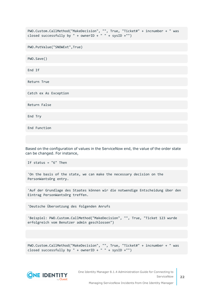PWO.Custom.CallMethod("MakeDecision", "", True, "Ticket#" + incnumber + " was closed successfully by " + ownerID + " " + sysID +"")

PWO.PutValue("SNOWExt",True)

PWO.Save()

End If

Return True

Catch ex As Exception

Return False

End Try

End Function

Based on the configuration of values in the ServiceNow end, the value of the order state can be changed. For instance,

If status = "6" Then

'On the basis of the state, we can make the necessary decision on the PersonWantsOrg entry.

'Auf der Grundlage des Staates können wir die notwendige Entscheidung über den Eintrag PersonWantsOrg treffen.

'Deutsche Übersetzung des folgenden Anrufs

'Beispiel: PWO.Custom.CallMethod("MakeDecision", "", True, "Ticket 123 wurde erfolgreich vom Benutzer admin geschlossen")

PWO.Custom.CallMethod("MakeDecision", "", True, "Ticket#" + incnumber + " was closed successfully by " + ownerID + " " + sysID +"")



One Identity Manager 8.1.4 Administration Guide for Connecting to ServiceNow

Managing ServiceNow Incidents from One Identity Manager

**22**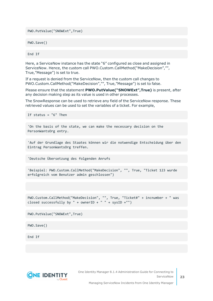PWO.PutValue("SNOWExt",True)

PWO.Save()

End If

Here, a ServiceNow instance has the state "6" configured as close and assigned in ServiceNow. Hence, the custom call PWO.Custom.CallMethod("MakeDecision","", True,"Message") is set to true.

If a request is denied from the ServiceNow, then the custom call changes to PWO.Custom.CallMethod("MakeDecision","", True,"Message") is set to false.

Please ensure that the statement **PWO.PutValue("SNOWExt",True)** is present, after any decision making step as its value is used in other processes.

The SnowResponse can be used to retrieve any field of the ServiceNow response. These retrieved values can be used to set the variables of a ticket. For example,

```
If status = "6" Then
```
'On the basis of the state, we can make the necessary decision on the PersonWantsOrg entry.

'Auf der Grundlage des Staates können wir die notwendige Entscheidung über den Eintrag PersonWantsOrg treffen.

'Deutsche Übersetzung des folgenden Anrufs

'Beispiel: PWO.Custom.CallMethod("MakeDecision", "", True, "Ticket 123 wurde erfolgreich vom Benutzer admin geschlossen")

PWO.Custom.CallMethod("MakeDecision", "", True, "Ticket#" + incnumber + " was closed successfully by " + ownerID + " " + sysID +"")

PWO.PutValue("SNOWExt",True)

PWO.Save()

End If



One Identity Manager 8.1.4 Administration Guide for Connecting to ServiceNow

Managing ServiceNow Incidents from One Identity Manager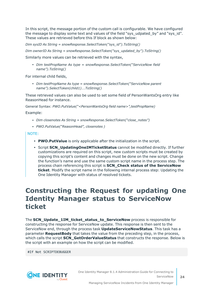In this script, the message portion of the custom call is configurable. We have configured the message to display some text and values of the field "sys\_udpated\_by" and "sys\_id". These values are retrieved before this If block as shown below:

*Dim sysID As String = snowResponse.SelectToken("sys\_id").ToString()*

*Dim ownerID As String = snowResponse.SelectToken("sys\_updated\_by").ToString()*

Similarly more values can be retrieved with the syntax,

<sup>l</sup> *Dim testPropName As type = snowResponse.SelectToken("ServiceNow field name").ToString()*

For internal child fields,

<sup>l</sup> *Dim testPropName As type = snowResponse.SelectToken("ServiceNow parent name").SelectToken(child1)….ToString()*

These retrieved values can also be used to set some field of PersonWantsOrg entry like ReasonHead for instance.

General Syntax: *PWO.PutValue("<PersonWantsOrg field name>",testPropName)*

Example:

- <sup>l</sup> *Dim closenotes As String = snowResponse.SelectToken("close\_notes")*
- <sup>l</sup> *PWO.PutValue("ReasonHead", closenotes )*

NOTE:

- **PWO.PutValue** is only applicable after the initialization in the script.
- **Script SCN\_UpdatingOneIMTicketStatus** cannot be modified directly. If further customizations are required on this script, new custom scripts must be created by copying this script's content and changes must be done on the new script. Change the function's name and use the same custom script name in the process step. The process chain referencing this script is **SCN\_Check status of the ServiceNow ticket**. Modify the script name in the following internal process step: Updating the One Identity Manager with status of resolved tickets.

### <span id="page-23-0"></span>**Constructing the Request for updating One Identity Manager status to ServiceNow ticket**

The **SCN\_Update\_1IM\_ticket\_status\_to\_ServiceNow** process is responsible for constructing the response for ServiceNow update. This response is then sent to the ServiceNow end, through the process task **UpdateServiceNowStatus**. This task has a parameter **RequestBody** that takes the value from the preceding step, in the process, which calls the script **SCN\_GetOrderValueStatus** that constructs the response. Below is the script with an example on how the script can be modified.

#If Not SCRIPTDEBUGGER



Managing ServiceNow Incidents from One Identity Manager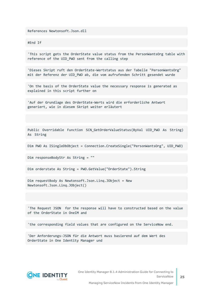References Newtonsoft.Json.dll

#End If

'This script gets the OrderState value status from the PersonWantsOrg table with reference of the UID PWO sent from the calling step

'Dieses Skript ruft den OrderState-Wertstatus aus der Tabelle "PersonWantsOrg" mit der Referenz der UID PWO ab, die vom aufrufenden Schritt gesendet wurde

'On the basis of the OrderState value the necessary response is generated as explained in this script further on

'Auf der Grundlage des OrderState-Werts wird die erforderliche Antwort generiert, wie in diesem Skript weiter erläutert

Public Overridable Function SCN GetOrderValueStatus(ByVal UID PWO As String) As String

Dim PWO As ISingleDbObject = Connection.CreateSingle("PersonWantsOrg", UID\_PWO)

Dim responseBodyStr As String = ""

Dim orderstate As String = PWO.GetValue("OrderState").String

Dim requestBody As Newtonsoft.Json.Linq.JObject = New Newtonsoft.Json.Linq.JObject()

'The Request JSON for the response will have to constructed based on the value of the OrderState in OneIM and

'the corresponding field values that are configured on the ServiceNow end.

'Der Anforderungs-JSON für die Antwort muss basierend auf dem Wert des OrderState in One Identity Manager und

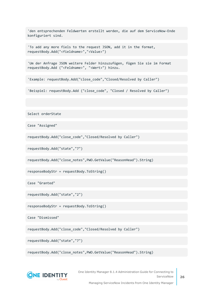'den entsprechenden Feldwerten erstellt werden, die auf dem ServiceNow-Ende konfiguriert sind.

'To add any more fiels to the request JSON, add it in the format, requestBody.Add("<fieldname>","<Value>")

'Um der Anfrage JSON weitere Felder hinzuzufügen, fügen Sie sie im Format requestBody.Add ("<Feldname>", "<Wert>") hinzu.

'Example: requestBody.Add("close\_code","Closed/Resolved by Caller")

'Beispiel: requestBody.Add ("close code", "Closed / Resolved by Caller")

Select orderState

Case "Assigned"

requestBody.Add("close\_code","Closed/Resolved by Caller")

requestBody.Add("state","7")

requestBody.Add("close\_notes",PWO.GetValue("ReasonHead").String)

responseBodyStr = requestBody.ToString()

Case "Granted"

requestBody.Add("state","2")

responseBodyStr = requestBody.ToString()

Case "Dismissed"

requestBody.Add("close\_code","Closed/Resolved by Caller")

requestBody.Add("state","7")

requestBody.Add("close\_notes",PWO.GetValue("ReasonHead").String)



One Identity Manager 8.1.4 Administration Guide for Connecting to ServiceNow

Managing ServiceNow Incidents from One Identity Manager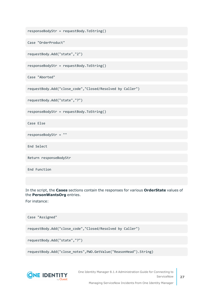```
responseBodyStr = requestBody.ToString()
```

```
Case "OrderProduct"
```

```
requestBody.Add("state","2")
```
responseBodyStr = requestBody.ToString()

Case "Aborted"

```
requestBody.Add("close_code","Closed/Resolved by Caller")
```
requestBody.Add("state","7")

responseBodyStr = requestBody.ToString()

Case Else

responseBodyStr = ""

End Select

Return responseBodyStr

End Function

In the script, the **Cases** sections contain the responses for various **OrderState** values of the **PersonWantsOrg** entries.

For instance:

Case "Assigned"

requestBody.Add("close\_code","Closed/Resolved by Caller")

```
requestBody.Add("state","7")
```
requestBody.Add("close\_notes",PWO.GetValue("ReasonHead").String)



One Identity Manager 8.1.4 Administration Guide for Connecting to ServiceNow

Managing ServiceNow Incidents from One Identity Manager

**27**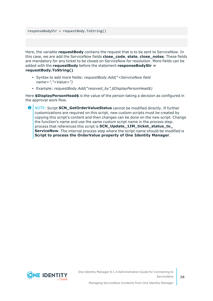responseBodyStr = requestBody.ToString()

Here, the variable **requestBody** contains the request that is to be sent to ServiceNow. In this case, we are add the ServiceNow fields **close\_code**, **state**, **close\_notes**. These fields are mandatory for any ticket to be closed on ServiceNow for resolution. More fields can be added with the **requestBody** before the statement **responseBodyStr = requestBody.ToString()**.

- <sup>l</sup> Syntax to add more fields: *requestBody.Add("<ServiceNow field name>","<Value>")*
- <sup>l</sup> Example: *requestBody.Add("resoved\_by",\$DisplayPersonHead\$)*

Here **\$DisplayPersonHead\$** is the value of the person taking a decision as configured in the approval work flow.

6 NOTE: Script **SCN\_GetOrderValueStatus** cannot be modified directly. If further customizations are required on this script, new custom scripts must be created by copying this script's content and then changes can be done on the new script. Change the function's name and use the same custom script name in the process step. process that references this script is **SCN\_Update\_1IM\_ticket\_status\_to\_ ServiceNow**. The internal process step where the script name should be modified is **Script to process the OrderValue property of One Identity Manager**.

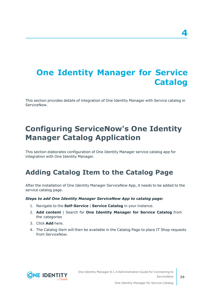## <span id="page-28-0"></span>**One Identity Manager for Service Catalog**

This section provides details of integration of One Identity Manager with Service catalog in ServiceNow.

## <span id="page-28-1"></span>**Configuring ServiceNow's One Identity Manager Catalog Application**

This section elaborates configuration of One Identity Manager service catalog app for integration with One Identity Manager.

### <span id="page-28-2"></span>**Adding Catalog Item to the Catalog Page**

After the installation of One Identity Manager ServiceNow App, it needs to be added to the service catalog page.

#### *Steps to add One Identity Manager ServiceNow App to catalog page:*

- 1. Navigate to the **Self-Service** | **Service Catalog** in your instance.
- 2. **Add content** | Search for **One Identity Manager for Service Catalog** from the categories
- 3. Click **Add** here.
- 4. The Catalog Item will then be available in the Catalog Page to place IT Shop requests from ServiceNow.

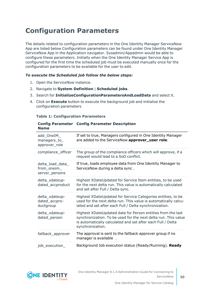### <span id="page-29-0"></span>**Configuration Parameters**

The details related to configuration parameters in the One Identity Manager ServiceNow App are listed below Configuration parameters can be found under One Identity Manager ServiceNow App in the Application navigator. Sysadmin/Appadmin would be able to configure these parameters. Initially when the One Identity Manager Service App is configured for the first time the scheduled job must be executed manually once for the configuration parameters to be available for the user to edit.

#### *To execute the Scheduled job follow the below steps:*

- 1. Open the ServiceNow instance.
- 2. Navigate to **System Definition** | **Scheduled jobs**.
- 3. Search for **InitializeConfigurationParametersAndLoadData** and select it.
- 4. Click on **Execute** button to execute the background job and initialize the configuration parameters

#### **Table 1: Configuration Parameters**

| <b>Name</b>                                       | <b>Config Parameter Config Parameter Description</b>                                                                                                                                                             |
|---------------------------------------------------|------------------------------------------------------------------------------------------------------------------------------------------------------------------------------------------------------------------|
| add_OneIM_<br>managers_to_<br>approver_role       | If set to true, Managers configured in One Identity Manager<br>are added to the ServiceNow approver_user role.                                                                                                   |
| compliance_officer                                | The group of the compliance officers which will approve, if a<br>request would lead to a SoD conflict.                                                                                                           |
| delta_load_data_<br>from_oneim_<br>server_persons | If true, loads employee data from One Identity Manager to<br>ServiceNow during a delta sync.                                                                                                                     |
| delta_xdateup-<br>dated_accproduct                | Highest XDateUpdated for Service Item entities, to be used<br>for the next delta run. This value is automatically calculated<br>and set after Full / Delta sync.                                                 |
| delta_xdateup-<br>dated_accpro-<br>ductgroup      | Highest XDateUpdated for Service Categories entities, to be<br>used for the next delta run. This value is automatically calcu-<br>lated and set after each Full / Delta synchronization.                         |
| delta xdateup-<br>dated_person                    | Highest XDateUpdated date for Person entities from the last<br>synchronization. To be used for the next delta run. This value<br>is automatically calculated and set after each Full / Delta<br>synchronization. |
| fallback_approver                                 | The approval is sent to the fallback approver group if no<br>manager is available.                                                                                                                               |
| job_execution_                                    | Background Job execution status (Ready/Running). Ready                                                                                                                                                           |

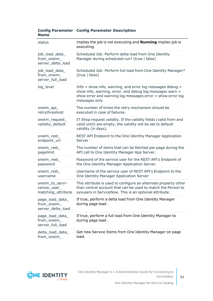|             | <b>Config Parameter Config Parameter Description</b> |  |
|-------------|------------------------------------------------------|--|
| <b>Name</b> |                                                      |  |

| status                                               | implies the job is not executing and Running implies job is<br>executing.                                                                                                                                |
|------------------------------------------------------|----------------------------------------------------------------------------------------------------------------------------------------------------------------------------------------------------------|
| job_load_data_<br>from_oneim_<br>server delta load   | Scheduled Job: Perform delta load from One Identity<br>Manager during scheduled run? (true   false)                                                                                                      |
| job_load_data_<br>from_oneim_<br>server full load    | Scheduled Job: Perform full load from One Identity Manager?<br>(true   false)                                                                                                                            |
| log level                                            | Info $=$ show info, warning, and error log messages debug $=$<br>show info, warning, error, and debug log messages warn =<br>show error and warning log messages error = show error log<br>messages only |
| oneim_api_<br>retrythreshold                         | The number of times the retry mechanism should be<br>executed in case of failures.                                                                                                                       |
| oneim_request_<br>validity_default                   | IT Shop request validity. If the validity fields (valid from and<br>valid until) are empty, the validity will be set to default<br>validity (in days).                                                   |
| oneim_rest_<br>endpoint_url                          | REST API Endpoint to the One Identity Manager Application<br>Server                                                                                                                                      |
| oneim_rest_<br>pagelimit                             | The number of items that can be fetched per page during the<br>API call to One Identity Manager App Server.                                                                                              |
| oneim_rest_<br>password                              | Password of the service user for the REST API's Endpoint of<br>the One Identity Manager Application Server.                                                                                              |
| oneim_rest_<br>username                              | Username of the service user of REST API's Endpoint to the<br>One Identity Manager Application Server                                                                                                    |
| oneim_to_servi-<br>cenow_user_<br>matching_attribute | This attribute is used to configure an alternate property other<br>than central account that can be used to match the Person to<br>sysusers in ServiceNow. This is an optional attribute.                |
| page_load_data_<br>from_oneim_<br>server_delta_load  | If true, perform a delta load from One Identity Manager<br>during page load.                                                                                                                             |
| page_load_data_<br>from_oneim_<br>server_full_load   | If true, perform a full load from One Identity Manager to<br>during page load.                                                                                                                           |
| delta_load_data_<br>from oneim                       | Get new Service Items from One Identity Manager on page<br>load.                                                                                                                                         |

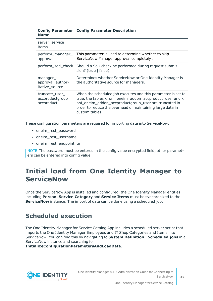| <b>Config Parameter Config Parameter Description</b> |  |
|------------------------------------------------------|--|
| <b>Name</b>                                          |  |

| server_service_<br>items                         |                                                                                                                                                                                                                                                                   |
|--------------------------------------------------|-------------------------------------------------------------------------------------------------------------------------------------------------------------------------------------------------------------------------------------------------------------------|
| perform_manager_<br>approval                     | This parameter is used to determine whether to skip<br>ServiceNow Manager approval completely.                                                                                                                                                                    |
|                                                  | perform_sod_check Should a SoD check be performed during request submis-<br>sion? (true $ $ false)                                                                                                                                                                |
| manager<br>approval_author-<br>itative source    | Determines whether ServiceNow or One Identity Manager is<br>the authoritative source for managers.                                                                                                                                                                |
| truncate_user_<br>accproductgroup_<br>accproduct | When the scheduled job executes and this parameter is set to<br>true, the tables x_oni_oneim_addon_accproduct_user and x_<br>oni_oneim_addon_accproductgroup_user are truncated in<br>order to reduce the overhead of maintaining large data in<br>custom tables. |

These configuration parameters are required for importing data into ServiceNow:

- oneim rest password
- oneim\_rest\_username
- oneim rest endpoint url

NOTE:The password must be entered in the config value encrypted field, other parameters can be entered into config value.

### <span id="page-31-0"></span>**Initial load from One Identity Manager to ServiceNow**

Once the ServiceNow App is installed and configured, the One Identity Manager entities including **Person**, **Service Category** and **Service Items** must be synchronized to the **ServiceNow** instance. The import of data can be done using a scheduled job.

### <span id="page-31-1"></span>**Scheduled execution**

The One Identity Manager for Service Catalog App includes a scheduled server script that imports the One Identity Manager Employees and IT Shop Categories and Items into ServiceNow. You can find this by navigating to **System Definition** | **Scheduled jobs** in a ServiceNow instance and searching for

**InitializeConfigurationParametersAndLoadData**.

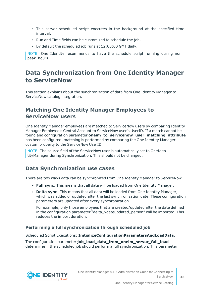- This server scheduled script executes in the background at the specified time interval.
- Run and Time fields can be customized to schedule the job.
- $\cdot$  By default the scheduled job runs at 12:00:00 GMT daily.

NOTE: One Identity recommends to have the schedule script running during non peak hours.

### <span id="page-32-0"></span>**Data Synchronization from One Identity Manager to ServiceNow**

This section explains about the synchronization of data from One Identity Manager to ServiceNow catalog integration.

### **Matching One Identity Manager Employees to ServiceNow users**

One Identity Manager employees are matched to ServiceNow users by comparing Identity Manager Employee's Central Account to ServiceNow user's UserID. If a match cannot be found and configuration parameter **oneim\_to\_servicenow\_user\_matching\_attribute** has been configured, matching is performed by comparing the One Identity Manager custom property to the ServiceNow UserID.

NOTE: The source field of the ServiceNow user is automatically set to OneIdentityManager during Synchronization. This should not be changed.

### **Data Synchronization use cases**

There are two ways data can be synchronized from One Identity Manager to ServiceNow.

- <sup>l</sup> **Full sync**: This means that all data will be loaded from One Identity Manager.
- <sup>l</sup> **Delta sync**: This means that all data will be loaded from One Identity Manager, which was added or updated after the last synchronization date. These configuration parameters are updated after every synchronization.

For example, only those employees that are created/updated after the date defined in the configuration parameter "delta\_xdateupdated\_person" will be imported. This reduces the import duration.

#### **Performing a full synchronization through scheduled job**

Scheduled Script Executions: **InitializeConfigurationParametersAndLoadData**.

The configuration parameter **job\_load\_data\_from\_oneim\_server\_full\_load** determines if the scheduled job should perform a full synchronization. This parameter

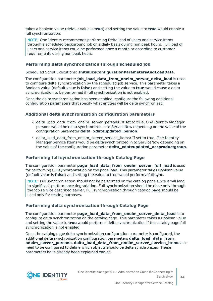takes a boolean value (default value is **true**) and setting the value to **true** would enable a full synchronization.

NOTE: One Identity recommends performing Delta load of users and service items through a scheduled background job on a daily basis during non peak hours. Full load of users and service items could be performed once a month or according to customer requirements during non peak hours.

#### **Performing delta synchronization through scheduled job**

#### Scheduled Script Executions: **InitializeConfigurationParametersAndLoadData**.

The configuration parameter **job\_load\_data\_from\_oneim\_server\_delta\_load** is used to configure delta synchronization by the scheduled job service. This parameter takes a Boolean value (default value is **false**) and setting the value to **true** would cause a delta synchronization to be performed if full synchronization is not enabled.

Once the delta synchronization has been enabled, configure the following additional configuration parameters that specify what entities will be delta synchronized

#### **Additional delta synchronization configuration parameters**

- delta load data from oneim server persons: If set to true, One Identity Manager persons would be delta synchronized in to ServiceNow depending on the value of the configuration parameter **delta\_xdateupdated\_person**.
- delta\_load\_data\_from\_oneim\_server\_service\_items: If set to true, One Identity Manager Service Items would be delta synchronized in to ServiceNow depending on the value of the configuration parameter **delta\_xdateupdated\_accproductgroup**.

#### **Performing full synchronization through Catalog Page**

The configuration parameter **page\_load\_data\_from\_oneim\_server\_full\_load** is used for performing full synchronization on the page load. This parameter takes Boolean value (default value is **false**) and setting the value to true would perform a full sync.

NOTE: Full synchronization should not be performed on the catalog page since it will lead to significant performance degradation. Full synchronization should be done only through the job service described earlier. Full synchronization through catalog page should be used only for testing purposes.

#### **Performing delta synchronization through Catalog Page**

The configuration parameter **page\_load\_data\_from\_oneim\_server\_delta\_load** is to configure delta synchronization on the catalog page. This parameter takes a Boolean value and setting the value to **true** would perform a delta synchronization if the catalog page full synchronization is not enabled.

Once the catalog page delta synchronization configuration parameter is configured, the additional delta synchronization configuration parameters **delta\_load\_data\_from\_ oneim\_server\_persons**, **delta\_load\_data\_from\_oneim\_server\_service\_items** also need to be configured to define which objects should be delta synchronized. These parameters have already been explained earlier.

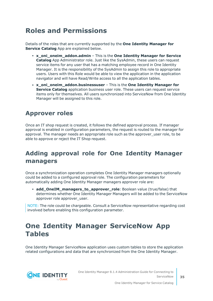### <span id="page-34-0"></span>**Roles and Permissions**

Details of the roles that are currently supported by the **One Identity Manager for Service Catalog** App are explained below.

- <sup>l</sup> **x\_oni\_oneim\_addon.admin** This is the **One Identity Manager for Service Catalog** App Administrator role. Just like the SysAdmin, these users can request service items for any user that has a matching employee record in One Identity Manager. It is the responsibility of the SysAdmin to assign this role to appropriate users. Users with this Role would be able to view the application in the application navigator and will have Read/Write access to all the application tables.
- <sup>l</sup> **x\_oni\_oneim\_addon.businessuser** This is the **One Identity Manager for Service Catalog** application business user role. These users can request service items only for themselves. All users synchronized into ServiceNow from One Identity Manager will be assigned to this role.

### <span id="page-34-1"></span>**Approver roles**

Once an IT shop request is created, it follows the defined approval process. If manager approval is enabled in configuration parameters, the request is routed to the manager for approval. The manager needs an appropriate role such as the approver user role, to be able to approve or reject the IT Shop request.

### <span id="page-34-2"></span>**Adding approval role for One Identity Manager managers**

Once a synchronization operation completes One Identity Manager managers optionally could be added to a configured approval role. The configuration parameters for automatically adding One Identity Manager managers approver role are:

• add\_OneIM\_managers\_to\_approver\_role: Boolean value (true/false) that determines whether One Identity Manager Managers will be added to the ServiceNow approver role approver user.

NOTE: The role could be chargeable. Consult a ServiceNow representative regarding cost involved before enabling this configuration parameter.

### <span id="page-34-3"></span>**One Identity Manager ServiceNow App Tables**

One Identity Manager ServiceNow application uses custom tables to store the application related configurations and data that are synchronized from the One Identity Manager.

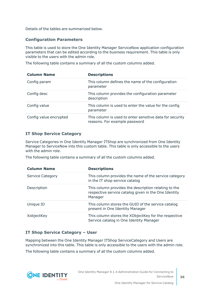Details of the tables are summarized below.

#### **Configuration Parameters**

This table is used to store the One Identity Manager ServiceNow application configuration parameters that can be edited according to the business requirement. This table is only visible to the users with the admin role.

The following table contains a summary of all the custom columns added.

| <b>Column Name</b>     | <b>Descriptions</b>                                                                       |
|------------------------|-------------------------------------------------------------------------------------------|
| Config param           | This column defines the name of the configuration<br>parameter                            |
| Config desc            | This column provides the configuration parameter<br>description                           |
| Config value           | This column is used to enter the value for the config<br>parameter                        |
| Config value encrypted | This column is used to enter sensitive data for security<br>reasons. For example password |

#### **IT Shop Service Category**

Service Categories in One Identity Manager ITShop are synchronized from One Identity Manager to ServiceNow into this custom table. This table is only accessible to the users with the admin role.

The following table contains a summary of all the custom columns added.

| <b>Column Name</b>      | <b>Descriptions</b>                                                                                                     |
|-------------------------|-------------------------------------------------------------------------------------------------------------------------|
| <b>Service Category</b> | This column provides the name of the service category<br>in the IT shop service catalog                                 |
| Description             | This column provides the description relating to the<br>respective service catalog given in the One Identity<br>Manager |
| Unique ID               | This column stores the GUID of the service catalog<br>present in One Identity Manager                                   |
| XobjectKey              | This column stores the XObjectKey for the respective<br>Service catalog in One Identity Manager                         |

#### **IT Shop Service Category – User**

Mapping between the One Identity Manager ITShop ServiceCategory and Users are synchronized into this table. This table is only accessible to the users with the admin role.

The following table contains a summary of all the custom columns added.

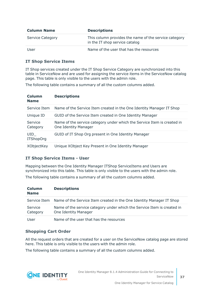| <b>Column Name</b> | <b>Descriptions</b>                                                                     |
|--------------------|-----------------------------------------------------------------------------------------|
| Service Category   | This column provides the name of the service category<br>in the IT shop service catalog |
| User               | Name of the user that has the resources                                                 |

#### **IT Shop Service Items**

IT Shop services created under the IT Shop Service Category are synchronized into this table in ServiceNow and are used for assigning the service items in the ServiceNow catalog page. This table is only visible to the users with the admin role.

The following table contains a summary of all the custom columns added.

| Column<br><b>Name</b>   | <b>Descriptions</b>                                                                                    |
|-------------------------|--------------------------------------------------------------------------------------------------------|
| Service Item            | Name of the Service Item created in the One Identity Manager IT Shop                                   |
| Unique ID               | GUID of the Service Item created in One Identity Manager                                               |
| Service<br>Category     | Name of the service category under which the Service Item is created in<br><b>One Identity Manager</b> |
| UID<br><b>ITShopOrg</b> | GUID of IT Shop Org present in One Identity Manager                                                    |
| XObjectKey              | Unique XObject Key Present in One Identity Manager                                                     |

#### **IT Shop Service Items - User**

Mapping between the One Identity Manager ITShop ServiceItems and Users are synchronized into this table. This table is only visible to the users with the admin role.

The following table contains a summary of all the custom columns added.

| Column<br><b>Name</b> | <b>Descriptions</b>                                                                             |
|-----------------------|-------------------------------------------------------------------------------------------------|
| Service Item          | Name of the Service Item created in the One Identity Manager IT Shop                            |
| Service<br>Category   | Name of the service category under which the Service Item is created in<br>One Identity Manager |
| User                  | Name of the user that has the resources                                                         |

#### **Shopping Cart Order**

All the request orders that are created for a user on the ServiceNow catalog page are stored here. This table is only visible to the users with the admin role.

The following table contains a summary of all the custom columns added.

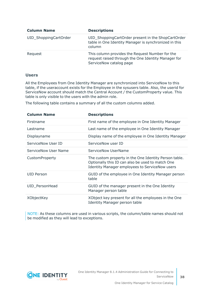| <b>Column Name</b>    | <b>Descriptions</b>                                                                                                               |
|-----------------------|-----------------------------------------------------------------------------------------------------------------------------------|
| UID_ShoppingCartOrder | UID_ShoppingCartOrder present in the ShopCartOrder<br>table in One Identity Manager is synchronized in this<br>column             |
| Request               | This column provides the Request Number for the<br>request raised through the One Identity Manager for<br>ServiceNow catalog page |

#### **Users**

All the Employees from One Identity Manager are synchronized into ServiceNow to this table, if the useraccount exists for the Employee in the sysusers table. Also, the userid for ServiceNow account should match the Central Account / the CustomProperty value. This table is only visible to the users with the admin role.

The following table contains a summary of all the custom columns added.

| <b>Column Name</b>   | <b>Descriptions</b>                                                                                                                                                |
|----------------------|--------------------------------------------------------------------------------------------------------------------------------------------------------------------|
| Firstname            | First name of the employee in One Identity Manager                                                                                                                 |
| Lastname             | Last name of the employee in One Identity Manager                                                                                                                  |
| Displayname          | Display name of the employee in One Identity Manager                                                                                                               |
| ServiceNow User ID   | ServiceNow user ID                                                                                                                                                 |
| ServiceNow User Name | ServiceNow UserName                                                                                                                                                |
| CustomProperty       | The custom property in the One Identity Person table.<br>Optionally this ID can also be used to match One<br><b>Identity Manager employees to ServiceNow users</b> |
| UID Person           | GUID of the employee in One Identity Manager person<br>table                                                                                                       |
| UID_PersonHead       | GUID of the manager present in the One Identity<br>Manager person table                                                                                            |
| XObjectKey           | XObject key present for all the employees in the One<br><b>Identity Manager person table</b>                                                                       |

NOTE: As these columns are used in various scripts, the column/table names should not be modified as they will lead to exceptions.

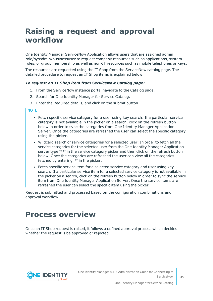## <span id="page-38-0"></span>**Raising a request and approval workflow**

One Identity Manager ServiceNow Application allows users that are assigned admin role/sysadmin/businessuser to request company resources such as applications, system roles, or group membership as well as non-IT resources such as mobile telephones or keys.

The resources are requested using the IT Shop from the ServiceNow catalog page. The detailed procedure to request an IT Shop items is explained below.

#### *To request an IT Shop item from ServiceNow Catalog page:*

- 1. From the ServiceNow instance portal navigate to the Catalog page.
- 2. Search for One Identity Manager for Service Catalog.
- 3. Enter the Required details, and click on the submit button

#### NOTE:

- Fetch specific service category for a user using key search: If a particular service category is not available in the picker on a search, click on the refresh button below in order to sync the categories from One Identity Manager Application Server. Once the categories are refreshed the user can select the specific category using the picker.
- Wildcard search of service categories for a selected user: In order to fetch all the service categories for the selected user from the One Identity Manager Application server type '\*\*' in the service category picker and then click on the refresh button below. Once the categories are refreshed the user can view all the categories fetched by entering '\*' in the picker.
- Fetch specific service item for a selected service category and user using key search: If a particular service item for a selected service category is not available in the picker on a search, click on the refresh button below in order to sync the service item from One Identity Manager Application Server. Once the service items are refreshed the user can select the specific item using the picker.

Request is submitted and processed based on the configuration combinations and approval workflow.

### <span id="page-38-1"></span>**Process overview**

Once an IT Shop request is raised, it follows a defined approval process which decides whether the request is be approved or rejected.

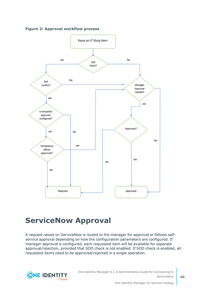



### <span id="page-39-0"></span>**ServiceNow Approval**

A request raised on ServiceNow is routed to the manager for approval or follows selfservice approval depending on how the configuration parameters are configured. If manager approval is configured, each requested item will be available for separate approval/rejection, provided that SOD check is not enabled. If SOD check is enabled, all requested items need to be approved/rejected in a single operation.

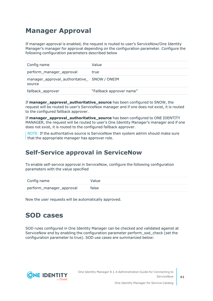### <span id="page-40-0"></span>**Manager Approval**

If manager approval is enabled, the request is routed to user's ServiceNow/One Identity Manager's manager for approval depending on the configuration parameter. Configure the following configuration parameters described below

| Config name                                            | Value                    |
|--------------------------------------------------------|--------------------------|
| perform_manager_approval                               | true                     |
| manager_approval_authoritative_ SNOW / ONEIM<br>source |                          |
| fallback_approver                                      | "Fallback approver name" |

If **manager\_approval\_authoritative\_source** has been configured to SNOW, the request will be routed to user's ServiceNow manager and if one does not exist, it is routed to the configured fallback approver.

If **manager\_approval\_authoritative\_source** has been configured to ONE IDENTITY MANAGER, the request will be routed to user's One Identity Manager's manager and if one does not exist, it is routed to the configured fallback approver.

NOTE: If the authoritative source is ServiceNow then system admin should make sure that the appropriate manager has approver role.

### <span id="page-40-1"></span>**Self-Service approval in ServiceNow**

To enable self-service approval in ServiceNow, configure the following configuration parameters with the value specified

| Config name              | Value |
|--------------------------|-------|
| perform_manager_approval | false |

<span id="page-40-2"></span>Now the user requests will be automatically approved.

### **SOD cases**

SOD rules configured in One Identity Manager can be checked and validated against at ServiceNow end by enabling the configuration parameter perform\_sod\_check (set the configuration parameter to true). SOD use cases are summarized below:

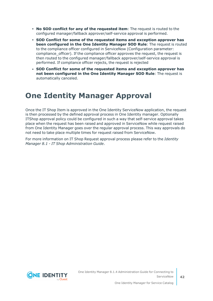- <sup>l</sup> **No SOD conflict for any of the requested item**: The request is routed to the configured manager/fallback approver/self-service approval is performed.
- <sup>l</sup> **SOD Conflict for some of the requested items and exception approver has been configured in the One Identity Manager SOD Rule**: The request is routed to the compliance officer configured in ServiceNow (Configuration parameter: compliance officer). If the compliance officer approves the request, the request is then routed to the configured manager/fallback approver/self-service approval is performed. If compliance officer rejects, the request is rejected
- <sup>l</sup> **SOD Conflict for some of the requested items and exception approver has not been configured in the One Identity Manager SOD Rule**: The request is automatically canceled.

## <span id="page-41-0"></span>**One Identity Manager Approval**

Once the IT Shop Item is approved in the One Identity ServiceNow application, the request is then processed by the defined approval process in One Identity manager. Optionally ITShop approval policy could be configured in such a way that self-service approval takes place when the request has been raised and approved in ServiceNow while request raised from One Identity Manager goes over the regular approval process. This way approvals do not need to take place multiple times for request raised from ServiceNow.

For more information on IT Shop Request approval process please refer to the *Identity Manager 8.1 - IT Shop Administration Guide*.

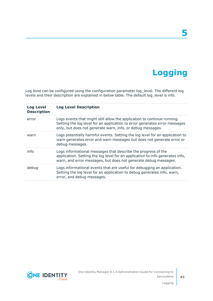## **Logging**

**5**

<span id="page-42-0"></span>Log level can be configured using the configuration parameter log\_level. The different log levels and their description are explained in below table. The default log\_level is info.

| <b>Log Level</b><br><b>Description</b> | <b>Log Level Description</b>                                                                                                                                                                                        |
|----------------------------------------|---------------------------------------------------------------------------------------------------------------------------------------------------------------------------------------------------------------------|
| error                                  | Logs events that might still allow the application to continue running.<br>Setting the log level for an application to error generates error messages<br>only, but does not generate warn, info, or debug messages. |
| warn                                   | Logs potentially harmful events. Setting the log level for an application to<br>warn generates error and warn messages but does not generate error or<br>debug messages.                                            |
| info                                   | Logs informational messages that describe the progress of the<br>application. Setting the log level for an application to info generates info,<br>warn, and error messages, but does not generate debug messages.   |
| debug                                  | Logs informational events that are useful for debugging an application.<br>Setting the log level for an application to debug generates info, warn,<br>error, and debug messages.                                    |

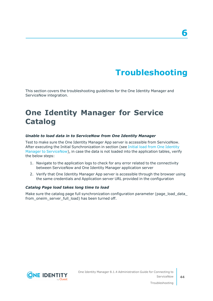## **Troubleshooting**

<span id="page-43-0"></span>This section covers the troubleshooting guidelines for the One Identity Manager and ServiceNow integration.

## <span id="page-43-1"></span>**One Identity Manager for Service Catalog**

#### *Unable to load data in to ServiceNow from One Identity Manager*

Test to make sure the One Identity Manager App server is accessible from ServiceNow. After executing the Initial Synchronization in section (see Initial load from One [Identity](#page-31-0) Manager to [ServiceNow\)](#page-31-0), in case the data is not loaded into the application tables, verify the below steps:

- 1. Navigate to the application logs to check for any error related to the connectivity between ServiceNow and One Identity Manager application server
- 2. Verify that One Identity Manager App server is accessible through the browser using the same credentials and Application server URL provided in the configuration

#### *Catalog Page load takes long time to load*

Make sure the catalog page full synchronization configuration parameter (page\_load\_data\_ from oneim server full load) has been turned off.

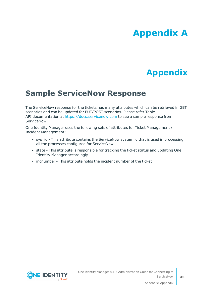# **Appendix A**

## **Appendix:Appendix**

## <span id="page-44-1"></span><span id="page-44-0"></span>**Sample ServiceNow Response**

The ServiceNow response for the tickets has many attributes which can be retrieved in GET scenarios and can be updated for PUT/POST scenarios. Please refer Table API documentation at [https://docs.servicenow.com](https://docs.servicenow.com/bundle/geneva-servicenow-platform/page/integrate/inbound_rest/reference/r_TableAPI-GET.html) to see a sample response from ServiceNow.

One Identity Manager uses the following sets of attributes for Ticket Management / Incident Management:

- sys id This attribute contains the ServiceNow system id that is used in processing all the processes configured for ServiceNow
- state This attribute is responsible for tracking the ticket status and updating One Identity Manager accordingly
- incnumber This attribute holds the incident number of the ticket